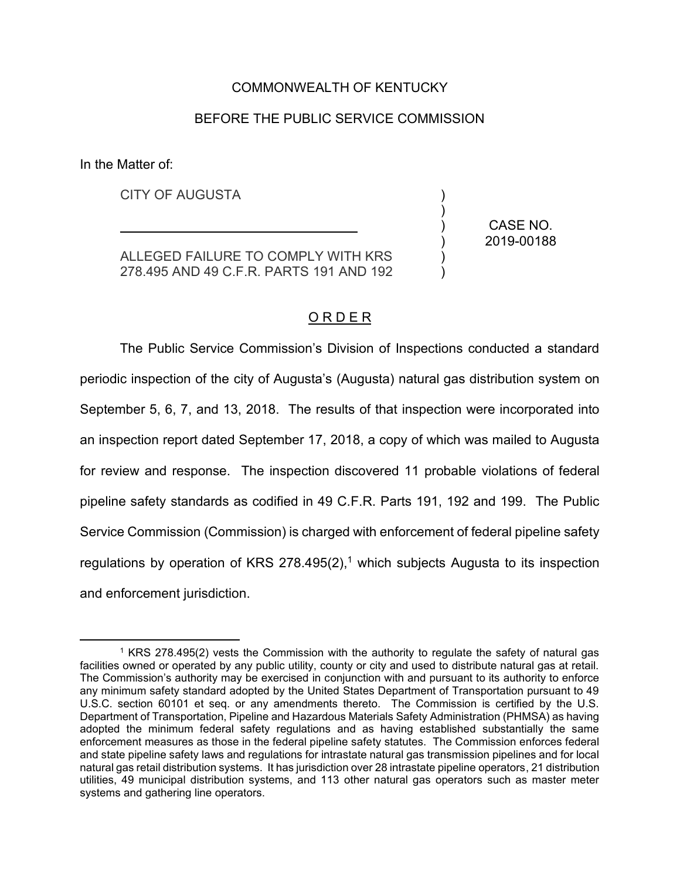### COMMONWEALTH OF KENTUCKY

### BEFORE THE PUBLIC SERVICE COMMISSION

In the Matter of:

CITY OF AUGUSTA

ALLEGED FAILURE TO COMPLY WITH KRS 278.495 AND 49 C.F.R. PARTS 191 AND 192

 $\mathcal{L}_\text{max}$  and  $\mathcal{L}_\text{max}$  and  $\mathcal{L}_\text{max}$  and  $\mathcal{L}_\text{max}$ 

CASE NO. 2019-00188

) ) ) ) ) )

# O R D E R

The Public Service Commission's Division of Inspections conducted a standard periodic inspection of the city of Augusta's (Augusta) natural gas distribution system on September 5, 6, 7, and 13, 2018. The results of that inspection were incorporated into an inspection report dated September 17, 2018, a copy of which was mailed to Augusta for review and response. The inspection discovered 11 probable violations of federal pipeline safety standards as codified in 49 C.F.R. Parts 191, 192 and 199. The Public Service Commission (Commission) is charged with enforcement of federal pipeline safety regulations by operation of KRS 278.495 $(2)$ ,<sup>1</sup> which subjects Augusta to its inspection and enforcement jurisdiction.

<sup>1</sup> KRS 278.495(2) vests the Commission with the authority to regulate the safety of natural gas facilities owned or operated by any public utility, county or city and used to distribute natural gas at retail. The Commission's authority may be exercised in conjunction with and pursuant to its authority to enforce any minimum safety standard adopted by the United States Department of Transportation pursuant to 49 U.S.C. section 60101 et seq. or any amendments thereto. The Commission is certified by the U.S. Department of Transportation, Pipeline and Hazardous Materials Safety Administration (PHMSA) as having adopted the minimum federal safety regulations and as having established substantially the same enforcement measures as those in the federal pipeline safety statutes. The Commission enforces federal and state pipeline safety laws and regulations for intrastate natural gas transmission pipelines and for local natural gas retail distribution systems. It has jurisdiction over 28 intrastate pipeline operators, 21 distribution utilities, 49 municipal distribution systems, and 113 other natural gas operators such as master meter systems and gathering line operators.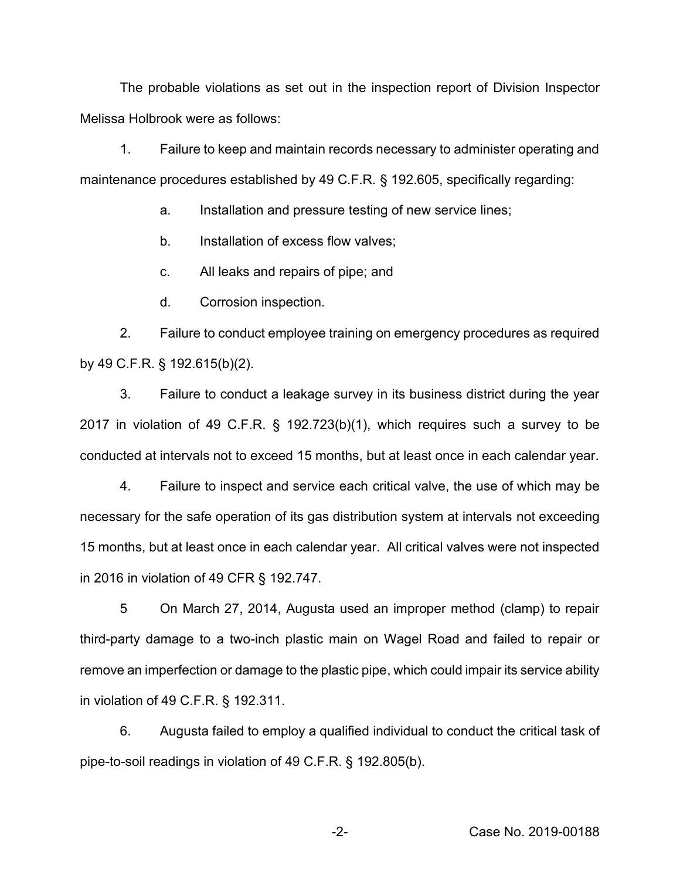The probable violations as set out in the inspection report of Division Inspector Melissa Holbrook were as follows:

1. Failure to keep and maintain records necessary to administer operating and maintenance procedures established by 49 C.F.R. § 192.605, specifically regarding:

a. Installation and pressure testing of new service lines;

- b. Installation of excess flow valves;
- c. All leaks and repairs of pipe; and
- d. Corrosion inspection.

2. Failure to conduct employee training on emergency procedures as required by 49 C.F.R. § 192.615(b)(2).

3. Failure to conduct a leakage survey in its business district during the year 2017 in violation of 49 C.F.R. § 192.723(b)(1), which requires such a survey to be conducted at intervals not to exceed 15 months, but at least once in each calendar year.

4. Failure to inspect and service each critical valve, the use of which may be necessary for the safe operation of its gas distribution system at intervals not exceeding 15 months, but at least once in each calendar year. All critical valves were not inspected in 2016 in violation of 49 CFR § 192.747.

5 On March 27, 2014, Augusta used an improper method (clamp) to repair third-party damage to a two-inch plastic main on Wagel Road and failed to repair or remove an imperfection or damage to the plastic pipe, which could impair its service ability in violation of 49 C.F.R. § 192.311.

6. Augusta failed to employ a qualified individual to conduct the critical task of pipe-to-soil readings in violation of 49 C.F.R. § 192.805(b).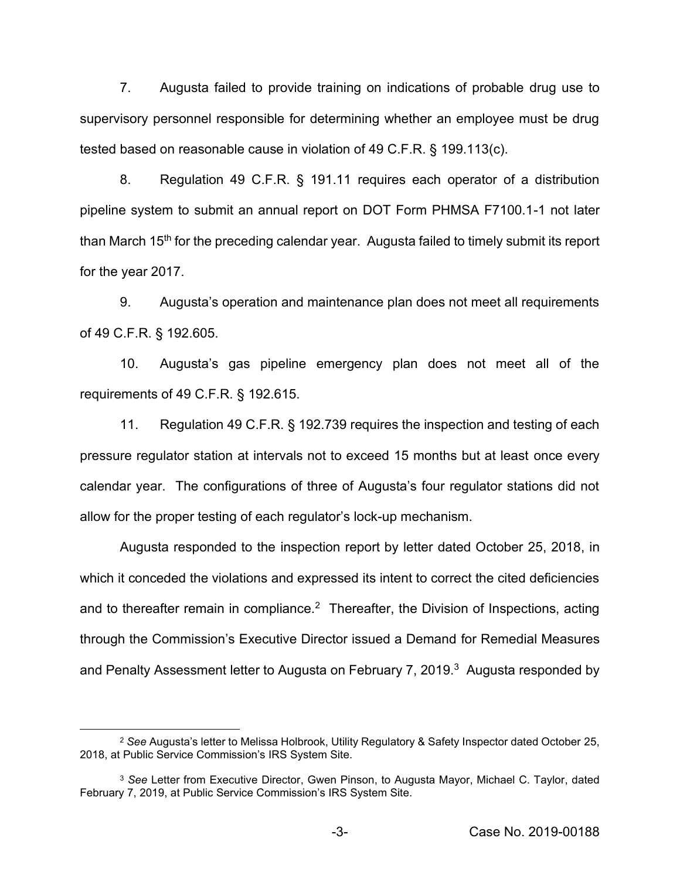7. Augusta failed to provide training on indications of probable drug use to supervisory personnel responsible for determining whether an employee must be drug tested based on reasonable cause in violation of 49 C.F.R. § 199.113(c).

8. Regulation 49 C.F.R. § 191.11 requires each operator of a distribution pipeline system to submit an annual report on DOT Form PHMSA F7100.1-1 not later than March 15<sup>th</sup> for the preceding calendar year. Augusta failed to timely submit its report for the year 2017.

9. Augusta's operation and maintenance plan does not meet all requirements of 49 C.F.R. § 192.605.

10. Augusta's gas pipeline emergency plan does not meet all of the requirements of 49 C.F.R. § 192.615.

11. Regulation 49 C.F.R. § 192.739 requires the inspection and testing of each pressure regulator station at intervals not to exceed 15 months but at least once every calendar year. The configurations of three of Augusta's four regulator stations did not allow for the proper testing of each regulator's lock-up mechanism.

Augusta responded to the inspection report by letter dated October 25, 2018, in which it conceded the violations and expressed its intent to correct the cited deficiencies and to thereafter remain in compliance.<sup>2</sup> Thereafter, the Division of Inspections, acting through the Commission's Executive Director issued a Demand for Remedial Measures and Penalty Assessment letter to Augusta on February 7, 2019.<sup>3</sup> Augusta responded by

<sup>2</sup> *See* Augusta's letter to Melissa Holbrook, Utility Regulatory & Safety Inspector dated October 25, 2018, at Public Service Commission's IRS System Site.

<sup>3</sup> *See* Letter from Executive Director, Gwen Pinson, to Augusta Mayor, Michael C. Taylor, dated February 7, 2019, at Public Service Commission's IRS System Site.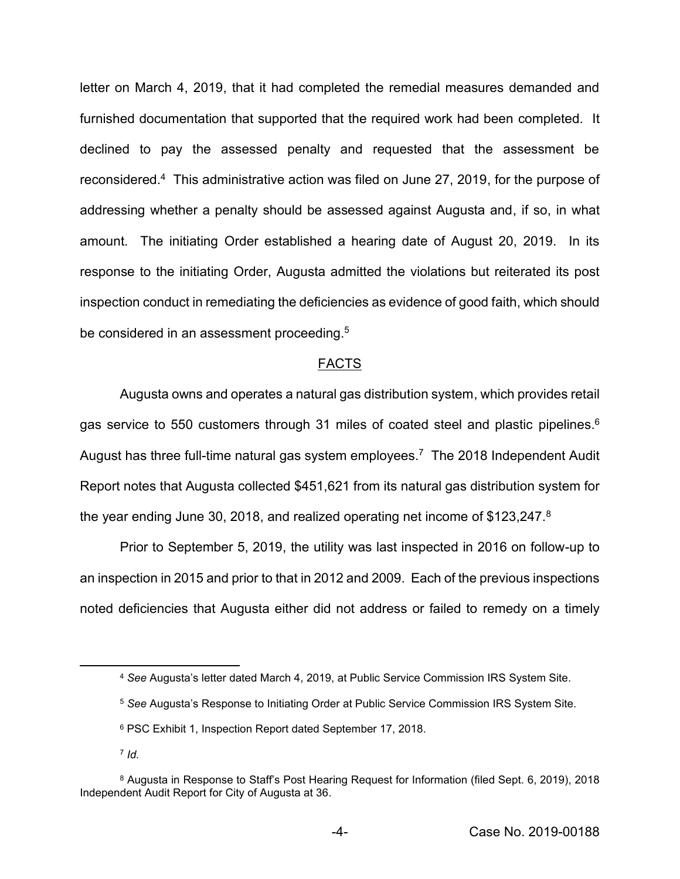letter on March 4, 2019, that it had completed the remedial measures demanded and furnished documentation that supported that the required work had been completed. It declined to pay the assessed penalty and requested that the assessment be reconsidered.4 This administrative action was filed on June 27, 2019, for the purpose of addressing whether a penalty should be assessed against Augusta and, if so, in what amount. The initiating Order established a hearing date of August 20, 2019. In its response to the initiating Order, Augusta admitted the violations but reiterated its post inspection conduct in remediating the deficiencies as evidence of good faith, which should be considered in an assessment proceeding.<sup>5</sup>

#### FACTS

Augusta owns and operates a natural gas distribution system, which provides retail gas service to 550 customers through 31 miles of coated steel and plastic pipelines.<sup>6</sup> August has three full-time natural gas system employees.<sup>7</sup> The 2018 Independent Audit Report notes that Augusta collected \$451,621 from its natural gas distribution system for the year ending June 30, 2018, and realized operating net income of \$123,247.8

Prior to September 5, 2019, the utility was last inspected in 2016 on follow-up to an inspection in 2015 and prior to that in 2012 and 2009. Each of the previous inspections noted deficiencies that Augusta either did not address or failed to remedy on a timely

<sup>4</sup> *See* Augusta's letter dated March 4, 2019, at Public Service Commission IRS System Site.

<sup>5</sup> *See* Augusta's Response to Initiating Order at Public Service Commission IRS System Site.

<sup>6</sup> PSC Exhibit 1, Inspection Report dated September 17, 2018.

<sup>7</sup> *Id.*

<sup>8</sup> Augusta in Response to Staff's Post Hearing Request for Information (filed Sept. 6, 2019), 2018 Independent Audit Report for City of Augusta at 36.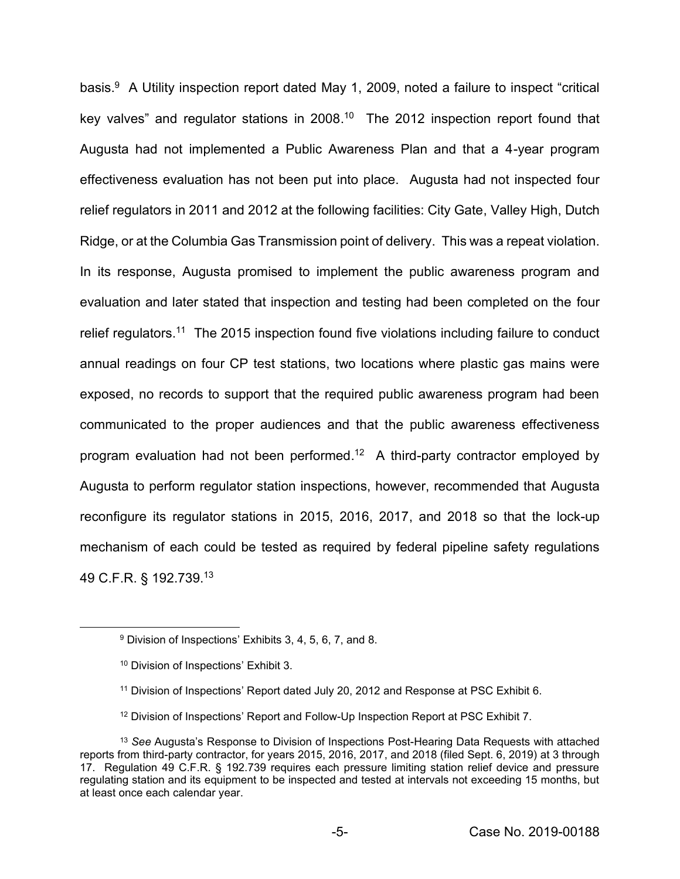basis.<sup>9</sup> A Utility inspection report dated May 1, 2009, noted a failure to inspect "critical key valves" and regulator stations in 2008.<sup>10</sup> The 2012 inspection report found that Augusta had not implemented a Public Awareness Plan and that a 4-year program effectiveness evaluation has not been put into place. Augusta had not inspected four relief regulators in 2011 and 2012 at the following facilities: City Gate, Valley High, Dutch Ridge, or at the Columbia Gas Transmission point of delivery. This was a repeat violation. In its response, Augusta promised to implement the public awareness program and evaluation and later stated that inspection and testing had been completed on the four relief regulators.<sup>11</sup> The 2015 inspection found five violations including failure to conduct annual readings on four CP test stations, two locations where plastic gas mains were exposed, no records to support that the required public awareness program had been communicated to the proper audiences and that the public awareness effectiveness program evaluation had not been performed.<sup>12</sup> A third-party contractor employed by Augusta to perform regulator station inspections, however, recommended that Augusta reconfigure its regulator stations in 2015, 2016, 2017, and 2018 so that the lock-up mechanism of each could be tested as required by federal pipeline safety regulations 49 C.F.R. § 192.739.13

<sup>9</sup> Division of Inspections' Exhibits 3, 4, 5, 6, 7, and 8.

<sup>10</sup> Division of Inspections' Exhibit 3.

<sup>11</sup> Division of Inspections' Report dated July 20, 2012 and Response at PSC Exhibit 6.

<sup>12</sup> Division of Inspections' Report and Follow-Up Inspection Report at PSC Exhibit 7.

<sup>13</sup> *See* Augusta's Response to Division of Inspections Post-Hearing Data Requests with attached reports from third-party contractor, for years 2015, 2016, 2017, and 2018 (filed Sept. 6, 2019) at 3 through 17. Regulation 49 C.F.R. § 192.739 requires each pressure limiting station relief device and pressure regulating station and its equipment to be inspected and tested at intervals not exceeding 15 months, but at least once each calendar year.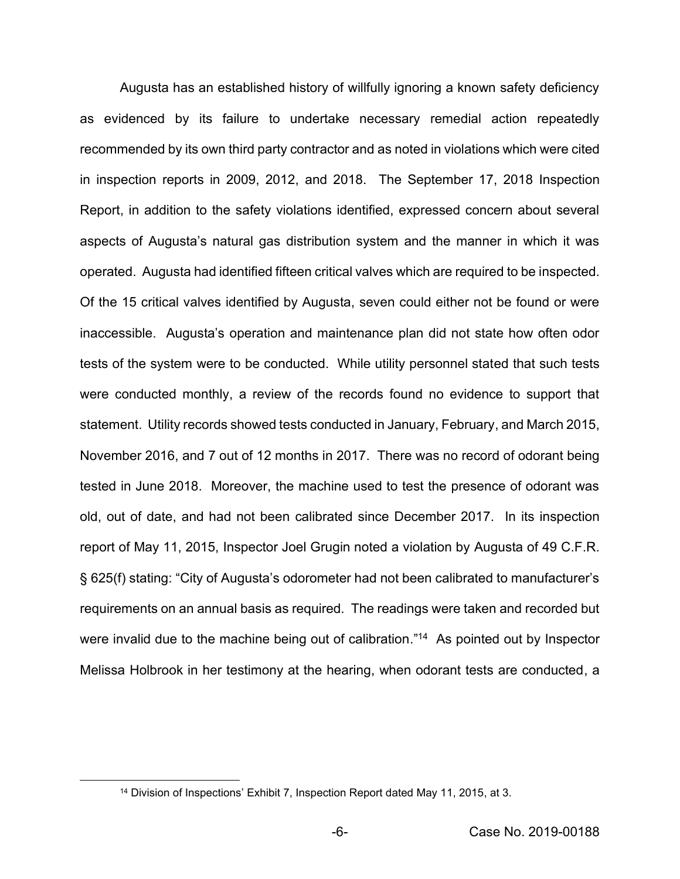Augusta has an established history of willfully ignoring a known safety deficiency as evidenced by its failure to undertake necessary remedial action repeatedly recommended by its own third party contractor and as noted in violations which were cited in inspection reports in 2009, 2012, and 2018. The September 17, 2018 Inspection Report, in addition to the safety violations identified, expressed concern about several aspects of Augusta's natural gas distribution system and the manner in which it was operated. Augusta had identified fifteen critical valves which are required to be inspected. Of the 15 critical valves identified by Augusta, seven could either not be found or were inaccessible. Augusta's operation and maintenance plan did not state how often odor tests of the system were to be conducted. While utility personnel stated that such tests were conducted monthly, a review of the records found no evidence to support that statement. Utility records showed tests conducted in January, February, and March 2015, November 2016, and 7 out of 12 months in 2017. There was no record of odorant being tested in June 2018. Moreover, the machine used to test the presence of odorant was old, out of date, and had not been calibrated since December 2017. In its inspection report of May 11, 2015, Inspector Joel Grugin noted a violation by Augusta of 49 C.F.R. § 625(f) stating: "City of Augusta's odorometer had not been calibrated to manufacturer's requirements on an annual basis as required. The readings were taken and recorded but were invalid due to the machine being out of calibration."<sup>14</sup> As pointed out by Inspector Melissa Holbrook in her testimony at the hearing, when odorant tests are conducted, a

<sup>14</sup> Division of Inspections' Exhibit 7, Inspection Report dated May 11, 2015, at 3.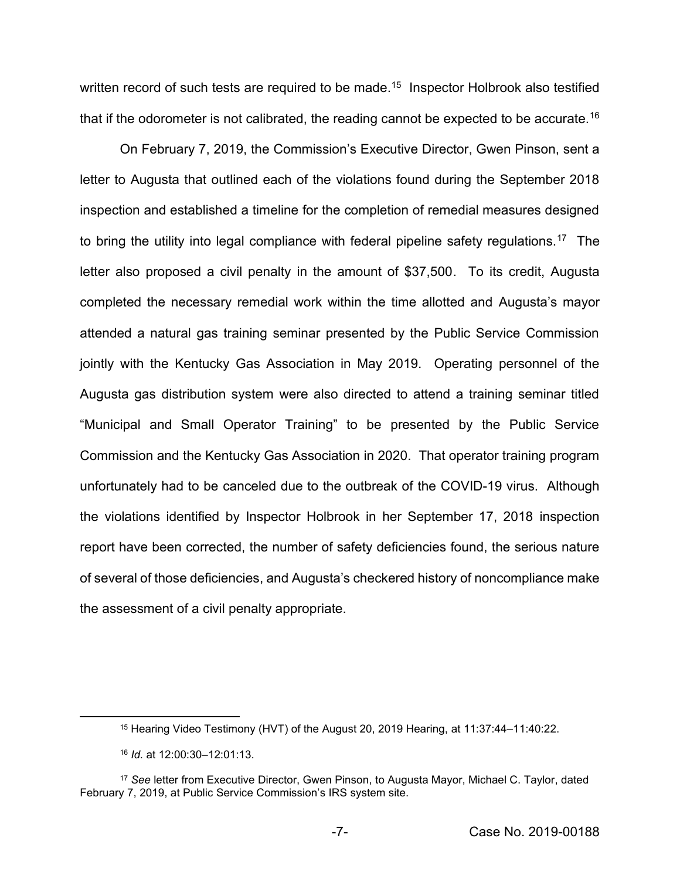written record of such tests are required to be made.<sup>15</sup> Inspector Holbrook also testified that if the odorometer is not calibrated, the reading cannot be expected to be accurate.16

On February 7, 2019, the Commission's Executive Director, Gwen Pinson, sent a letter to Augusta that outlined each of the violations found during the September 2018 inspection and established a timeline for the completion of remedial measures designed to bring the utility into legal compliance with federal pipeline safety regulations.<sup>17</sup> The letter also proposed a civil penalty in the amount of \$37,500. To its credit, Augusta completed the necessary remedial work within the time allotted and Augusta's mayor attended a natural gas training seminar presented by the Public Service Commission jointly with the Kentucky Gas Association in May 2019. Operating personnel of the Augusta gas distribution system were also directed to attend a training seminar titled "Municipal and Small Operator Training" to be presented by the Public Service Commission and the Kentucky Gas Association in 2020. That operator training program unfortunately had to be canceled due to the outbreak of the COVID-19 virus. Although the violations identified by Inspector Holbrook in her September 17, 2018 inspection report have been corrected, the number of safety deficiencies found, the serious nature of several of those deficiencies, and Augusta's checkered history of noncompliance make the assessment of a civil penalty appropriate.

<sup>15</sup> Hearing Video Testimony (HVT) of the August 20, 2019 Hearing, at 11:37:44–11:40:22.

<sup>16</sup> *Id.* at 12:00:30–12:01:13.

<sup>17</sup> *See* letter from Executive Director, Gwen Pinson, to Augusta Mayor, Michael C. Taylor, dated February 7, 2019, at Public Service Commission's IRS system site.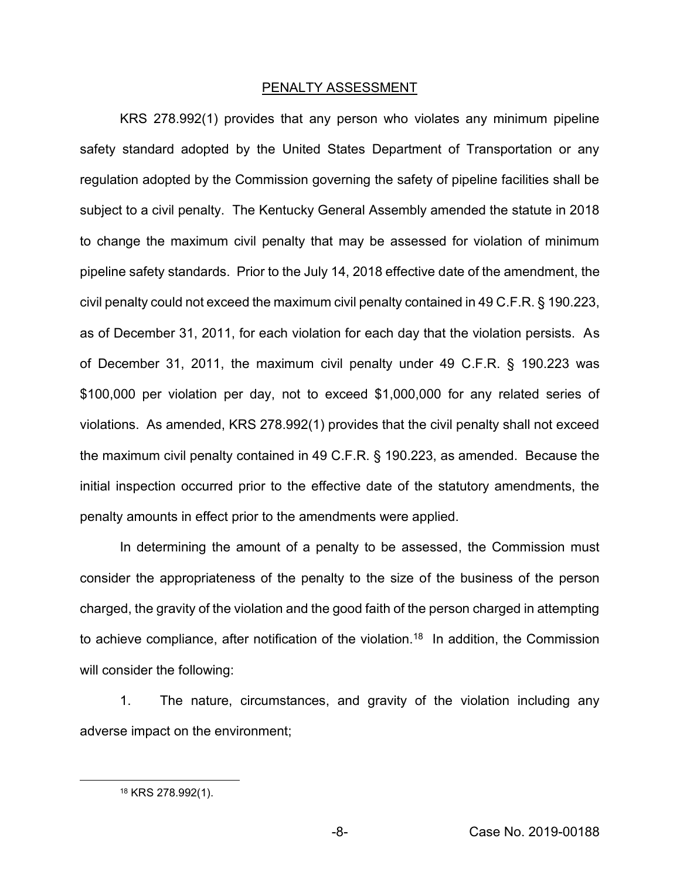#### PENALTY ASSESSMENT

KRS 278.992(1) provides that any person who violates any minimum pipeline safety standard adopted by the United States Department of Transportation or any regulation adopted by the Commission governing the safety of pipeline facilities shall be subject to a civil penalty. The Kentucky General Assembly amended the statute in 2018 to change the maximum civil penalty that may be assessed for violation of minimum pipeline safety standards. Prior to the July 14, 2018 effective date of the amendment, the civil penalty could not exceed the maximum civil penalty contained in 49 C.F.R. § 190.223, as of December 31, 2011, for each violation for each day that the violation persists. As of December 31, 2011, the maximum civil penalty under 49 C.F.R. § 190.223 was \$100,000 per violation per day, not to exceed \$1,000,000 for any related series of violations. As amended, KRS 278.992(1) provides that the civil penalty shall not exceed the maximum civil penalty contained in 49 C.F.R. § 190.223, as amended. Because the initial inspection occurred prior to the effective date of the statutory amendments, the penalty amounts in effect prior to the amendments were applied.

In determining the amount of a penalty to be assessed, the Commission must consider the appropriateness of the penalty to the size of the business of the person charged, the gravity of the violation and the good faith of the person charged in attempting to achieve compliance, after notification of the violation.<sup>18</sup> In addition, the Commission will consider the following:

1. The nature, circumstances, and gravity of the violation including any adverse impact on the environment;

<sup>18</sup> KRS 278.992(1).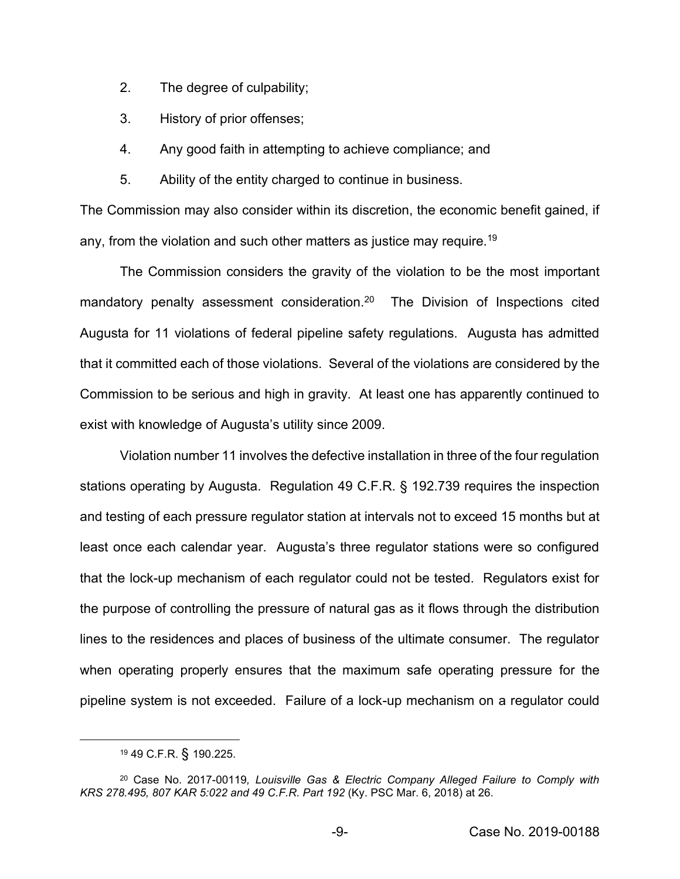- 2. The degree of culpability;
- 3. History of prior offenses;
- 4. Any good faith in attempting to achieve compliance; and
- 5. Ability of the entity charged to continue in business.

The Commission may also consider within its discretion, the economic benefit gained, if any, from the violation and such other matters as justice may require.<sup>19</sup>

The Commission considers the gravity of the violation to be the most important mandatory penalty assessment consideration.<sup>20</sup> The Division of Inspections cited Augusta for 11 violations of federal pipeline safety regulations. Augusta has admitted that it committed each of those violations. Several of the violations are considered by the Commission to be serious and high in gravity. At least one has apparently continued to exist with knowledge of Augusta's utility since 2009.

Violation number 11 involves the defective installation in three of the four regulation stations operating by Augusta. Regulation 49 C.F.R. § 192.739 requires the inspection and testing of each pressure regulator station at intervals not to exceed 15 months but at least once each calendar year. Augusta's three regulator stations were so configured that the lock-up mechanism of each regulator could not be tested. Regulators exist for the purpose of controlling the pressure of natural gas as it flows through the distribution lines to the residences and places of business of the ultimate consumer. The regulator when operating properly ensures that the maximum safe operating pressure for the pipeline system is not exceeded. Failure of a lock-up mechanism on a regulator could

<sup>19</sup> 49 C.F.R. § 190.225.

<sup>20</sup> Case No. 2017-00119*, Louisville Gas & Electric Company Alleged Failure to Comply with KRS 278.495, 807 KAR 5:022 and 49 C.F.R. Part 192* (Ky. PSC Mar. 6, 2018) at 26.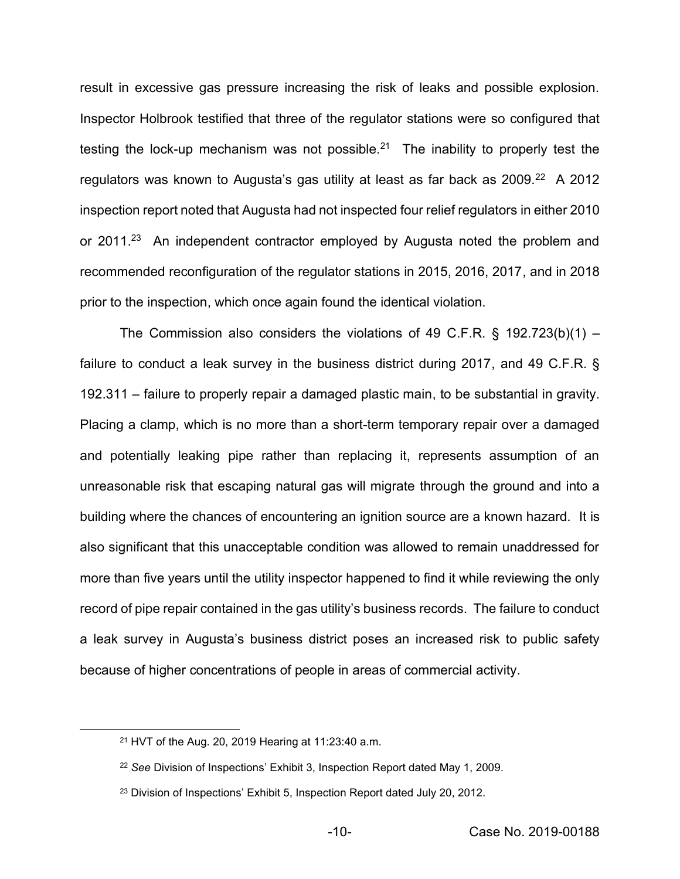result in excessive gas pressure increasing the risk of leaks and possible explosion. Inspector Holbrook testified that three of the regulator stations were so configured that testing the lock-up mechanism was not possible.<sup>21</sup> The inability to properly test the regulators was known to Augusta's gas utility at least as far back as 2009.<sup>22</sup> A 2012 inspection report noted that Augusta had not inspected four relief regulators in either 2010 or 2011.23 An independent contractor employed by Augusta noted the problem and recommended reconfiguration of the regulator stations in 2015, 2016, 2017, and in 2018 prior to the inspection, which once again found the identical violation.

The Commission also considers the violations of 49 C.F.R.  $\S$  192.723(b)(1) – failure to conduct a leak survey in the business district during 2017, and 49 C.F.R. § 192.311 – failure to properly repair a damaged plastic main, to be substantial in gravity. Placing a clamp, which is no more than a short-term temporary repair over a damaged and potentially leaking pipe rather than replacing it, represents assumption of an unreasonable risk that escaping natural gas will migrate through the ground and into a building where the chances of encountering an ignition source are a known hazard. It is also significant that this unacceptable condition was allowed to remain unaddressed for more than five years until the utility inspector happened to find it while reviewing the only record of pipe repair contained in the gas utility's business records. The failure to conduct a leak survey in Augusta's business district poses an increased risk to public safety because of higher concentrations of people in areas of commercial activity.

<sup>21</sup> HVT of the Aug. 20, 2019 Hearing at 11:23:40 a.m.

<sup>22</sup> *See* Division of Inspections' Exhibit 3, Inspection Report dated May 1, 2009.

<sup>&</sup>lt;sup>23</sup> Division of Inspections' Exhibit 5, Inspection Report dated July 20, 2012.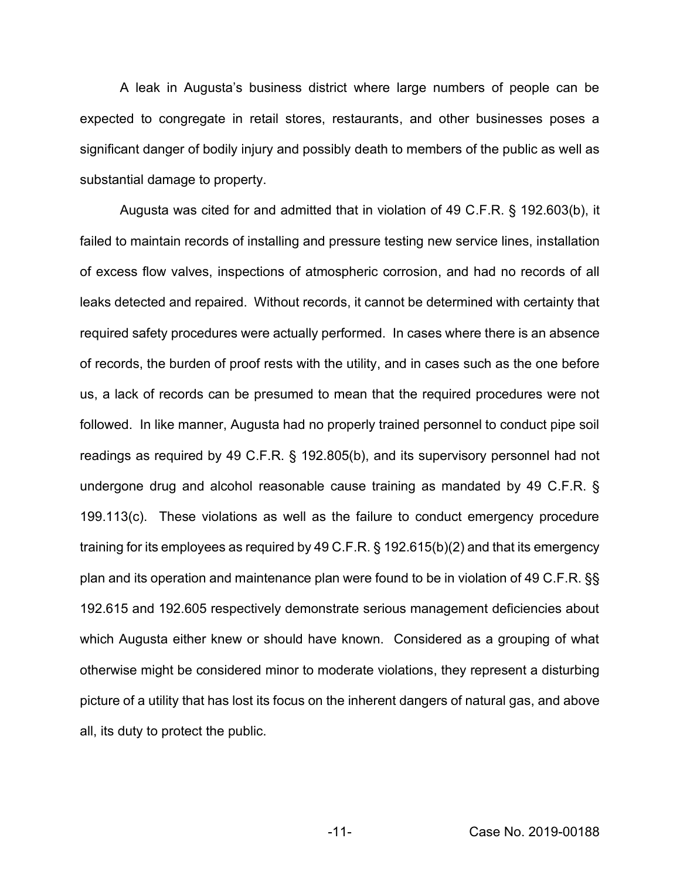A leak in Augusta's business district where large numbers of people can be expected to congregate in retail stores, restaurants, and other businesses poses a significant danger of bodily injury and possibly death to members of the public as well as substantial damage to property.

Augusta was cited for and admitted that in violation of 49 C.F.R. § 192.603(b), it failed to maintain records of installing and pressure testing new service lines, installation of excess flow valves, inspections of atmospheric corrosion, and had no records of all leaks detected and repaired. Without records, it cannot be determined with certainty that required safety procedures were actually performed. In cases where there is an absence of records, the burden of proof rests with the utility, and in cases such as the one before us, a lack of records can be presumed to mean that the required procedures were not followed. In like manner, Augusta had no properly trained personnel to conduct pipe soil readings as required by 49 C.F.R. § 192.805(b), and its supervisory personnel had not undergone drug and alcohol reasonable cause training as mandated by 49 C.F.R. § 199.113(c). These violations as well as the failure to conduct emergency procedure training for its employees as required by 49 C.F.R. § 192.615(b)(2) and that its emergency plan and its operation and maintenance plan were found to be in violation of 49 C.F.R. §§ 192.615 and 192.605 respectively demonstrate serious management deficiencies about which Augusta either knew or should have known. Considered as a grouping of what otherwise might be considered minor to moderate violations, they represent a disturbing picture of a utility that has lost its focus on the inherent dangers of natural gas, and above all, its duty to protect the public.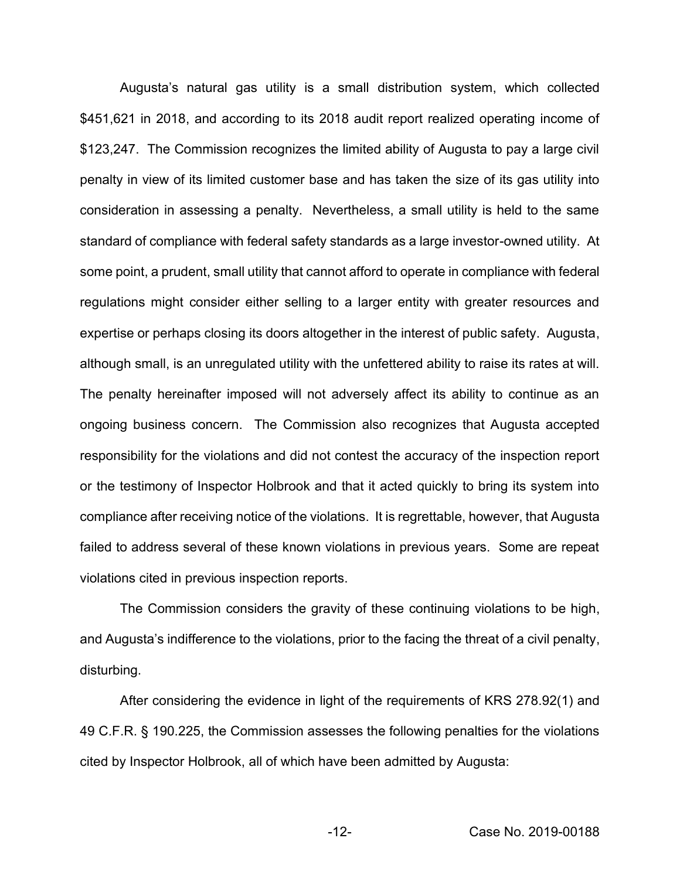Augusta's natural gas utility is a small distribution system, which collected \$451,621 in 2018, and according to its 2018 audit report realized operating income of \$123,247. The Commission recognizes the limited ability of Augusta to pay a large civil penalty in view of its limited customer base and has taken the size of its gas utility into consideration in assessing a penalty. Nevertheless, a small utility is held to the same standard of compliance with federal safety standards as a large investor-owned utility. At some point, a prudent, small utility that cannot afford to operate in compliance with federal regulations might consider either selling to a larger entity with greater resources and expertise or perhaps closing its doors altogether in the interest of public safety. Augusta, although small, is an unregulated utility with the unfettered ability to raise its rates at will. The penalty hereinafter imposed will not adversely affect its ability to continue as an ongoing business concern. The Commission also recognizes that Augusta accepted responsibility for the violations and did not contest the accuracy of the inspection report or the testimony of Inspector Holbrook and that it acted quickly to bring its system into compliance after receiving notice of the violations. It is regrettable, however, that Augusta failed to address several of these known violations in previous years. Some are repeat violations cited in previous inspection reports.

The Commission considers the gravity of these continuing violations to be high, and Augusta's indifference to the violations, prior to the facing the threat of a civil penalty, disturbing.

After considering the evidence in light of the requirements of KRS 278.92(1) and 49 C.F.R. § 190.225, the Commission assesses the following penalties for the violations cited by Inspector Holbrook, all of which have been admitted by Augusta: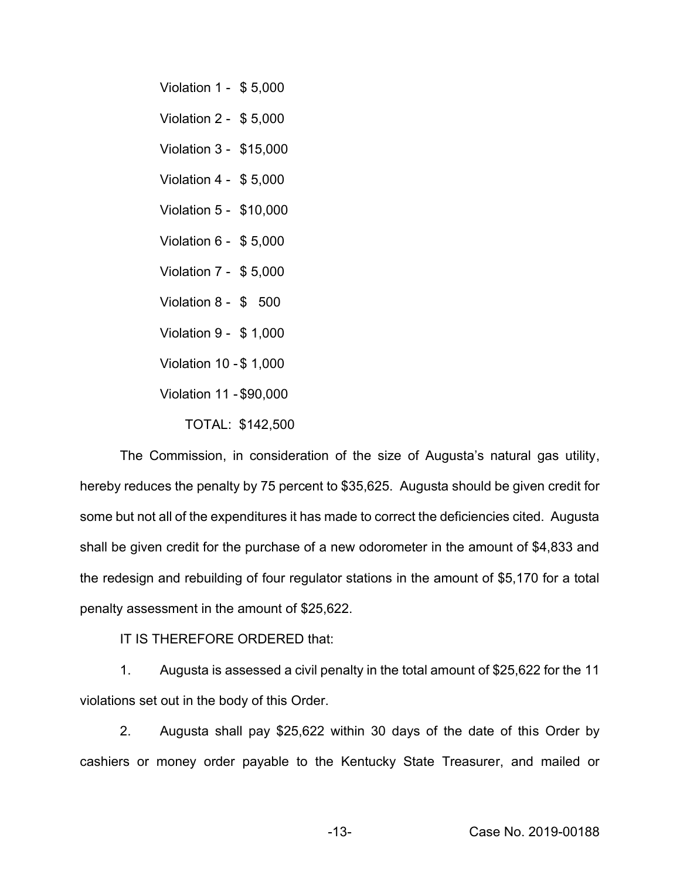Violation 1 - \$ 5,000 Violation 2 - \$ 5,000 Violation 3 - \$15,000 Violation 4 - \$ 5,000 Violation 5 - \$10,000 Violation 6 - \$ 5,000 Violation 7 - \$ 5,000 Violation 8 - \$ 500 Violation 9 - \$ 1,000 Violation 10 - \$ 1,000 Violation 11 - \$90,000 TOTAL: \$142,500

The Commission, in consideration of the size of Augusta's natural gas utility, hereby reduces the penalty by 75 percent to \$35,625. Augusta should be given credit for some but not all of the expenditures it has made to correct the deficiencies cited. Augusta shall be given credit for the purchase of a new odorometer in the amount of \$4,833 and the redesign and rebuilding of four regulator stations in the amount of \$5,170 for a total penalty assessment in the amount of \$25,622.

IT IS THEREFORE ORDERED that:

1. Augusta is assessed a civil penalty in the total amount of \$25,622 for the 11 violations set out in the body of this Order.

2. Augusta shall pay \$25,622 within 30 days of the date of this Order by cashiers or money order payable to the Kentucky State Treasurer, and mailed or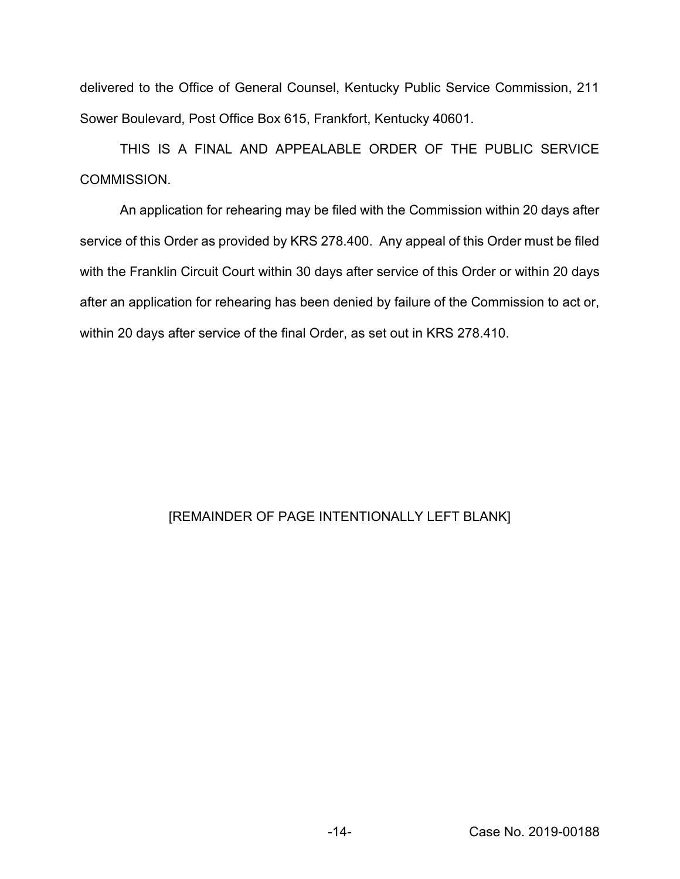delivered to the Office of General Counsel, Kentucky Public Service Commission, 211 Sower Boulevard, Post Office Box 615, Frankfort, Kentucky 40601.

THIS IS A FINAL AND APPEALABLE ORDER OF THE PUBLIC SERVICE **COMMISSION** 

An application for rehearing may be filed with the Commission within 20 days after service of this Order as provided by KRS 278.400. Any appeal of this Order must be filed with the Franklin Circuit Court within 30 days after service of this Order or within 20 days after an application for rehearing has been denied by failure of the Commission to act or, within 20 days after service of the final Order, as set out in KRS 278.410.

# [REMAINDER OF PAGE INTENTIONALLY LEFT BLANK]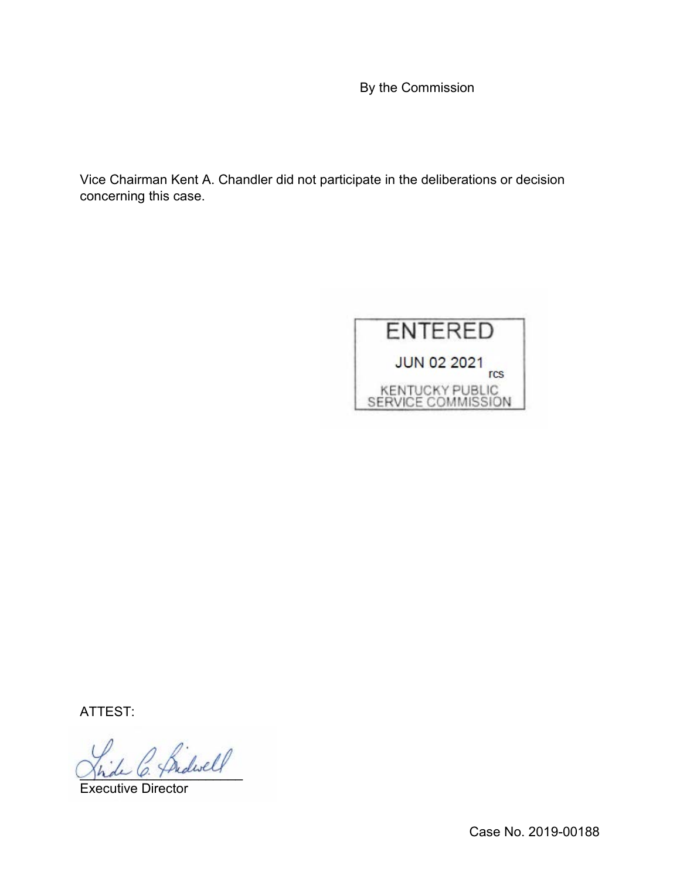By the Commission

Vice Chairman Kent A. Chandler did not participate in the deliberations or decision concerning this case.



ATTEST:

Bidwell

Executive Director

Case No. 2019-00188